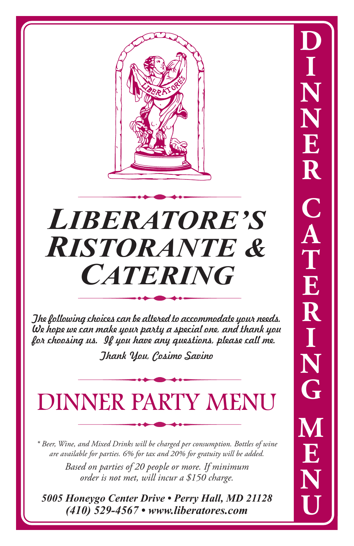

# *LIBERATORE'S RISTORANTE & CATERING*

The following choices can be altered to accommodate your needs. We hope we can make your party a special one, and thank you for choosing us. If you have any questions, please call me.

Thank You, Cosimo Savino

#### DINNER PARTY MENU

*\* Beer, Wine, and Mixed Drinks will be charged per consumption. Bottles of wine are available for parties. 6% for tax and 20% for gratuity will be added.*

> *Based on parties of 20 people or more. If minimum order is not met, will incur a \$150 charge.*

*5005 Honeygo Center Drive • Perry Hall, MD 21128 (410) 529-4567 • www.liberatores.com*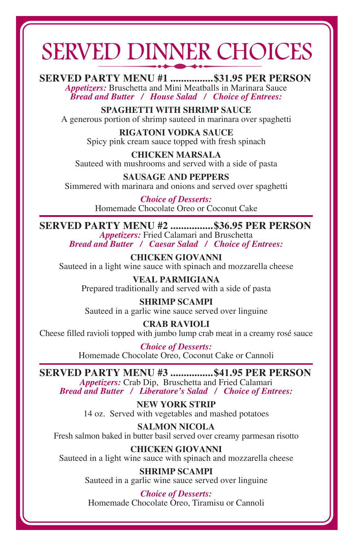### SERVED DINNER CHOICES

**SERVED PARTY MENU #1 ................\$31.95 PER PERSON** *Appetizers:* Bruschetta and Mini Meatballs in Marinara Sauce *Bread and Butter / House Salad / Choice of Entrees:*

**SPAGHETTI WITH SHRIMP SAUCE** A generous portion of shrimp sauteed in marinara over spaghetti

> **RIGATONI VODKA SAUCE** Spicy pink cream sauce topped with fresh spinach

**CHICKEN MARSALA** Sauteed with mushrooms and served with a side of pasta

**SAUSAGE AND PEPPERS** Simmered with marinara and onions and served over spaghetti

> *Choice of Desserts:* Homemade Chocolate Oreo or Coconut Cake

**SERVED PARTY MENU #2 ................\$36.95 PER PERSON** *Appetizers:* Fried Calamari and Bruschetta *Bread and Butter / Caesar Salad / Choice of Entrees:*

**CHICKEN GIOVANNI** Sauteed in a light wine sauce with spinach and mozzarella cheese

**VEAL PARMIGIANA** Prepared traditionally and served with a side of pasta

**SHRIMP SCAMPI** Sauteed in a garlic wine sauce served over linguine

**CRAB RAVIOLI** Cheese filled ravioli topped with jumbo lump crab meat in a creamy rosé sauce

> *Choice of Desserts:* Homemade Chocolate Oreo, Coconut Cake or Cannoli

**SERVED PARTY MENU #3 ................\$41.95 PER PERSON**

*Appetizers:* Crab Dip, Bruschetta and Fried Calamari *Bread and Butter / Liberatore's Salad / Choice of Entrees:*

> **NEW YORK STRIP** 14 oz. Served with vegetables and mashed potatoes

**SALMON NICOLA** Fresh salmon baked in butter basil served over creamy parmesan risotto

**CHICKEN GIOVANNI** Sauteed in a light wine sauce with spinach and mozzarella cheese

> **SHRIMP SCAMPI** Sauteed in a garlic wine sauce served over linguine

*Choice of Desserts:* Homemade Chocolate Oreo, Tiramisu or Cannoli